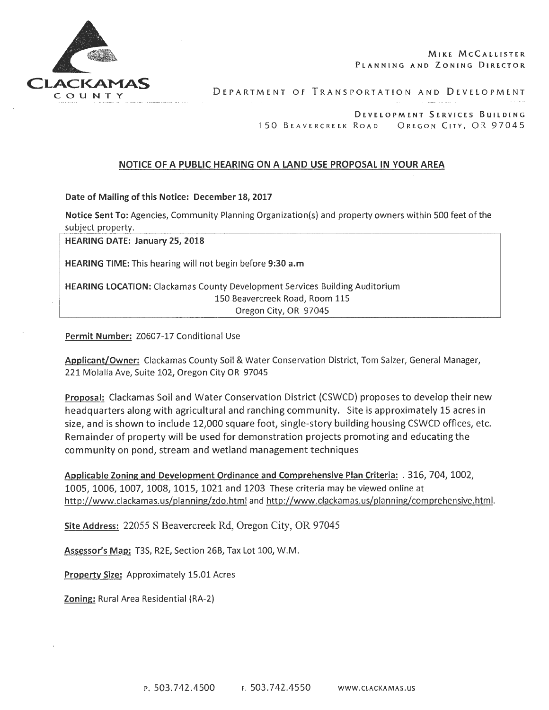

DEPARTMENT OF TRANSPORTATION AND DEVELOPMENT

DEVELOPMENT SERVICES BUILDING 150 BEAVERCREEK ROAD OREGON CITY, OR 97045

### NOTICE OF A PUBLIC HEARING ON A LAND USE PROPOSAL IN YOUR AREA

Date of Mailing of this Notice: December 18, 2017

Notice Sent To: Agencies, Community Planning Organization{s) and property owners within 500 feet of the subject property.

HEARING DATE: January 25, 2018

HEARING TIME: This hearing will not begin before 9:30 a.m

HEARING LOCATION: Clackamas County Development Services Building Auditorium 150 Beavercreek Road, Room 115 Oregon City, OR 97045

#### Permit Number: Z0607-17 Conditional Use

Applicant/Owner: Clackamas County Soil & Water Conservation District, Tom Salzer, General Manager, 221 Molalla Ave, Suite 102, Oregon City OR 97045

Proposal: Clackamas Soil and Water Conservation District {CSWCD) proposes to develop their new headquarters along with agricultural and ranching community. Site is approximately 15 acres in size, and is shown to include 12,000 square foot, single-story building housing CSWCD offices, etc. Remainder of property will be used for demonstration projects promoting and educating the community on pond, stream and wetland management techniques

Applicable Zoning and Development Ordinance and Comprehensive Plan Criteria: . 316, 704, 1002, 1005, 1006, 1007, 1008, 1015, 1021 and 1203 These criteria may be viewed online at http://www.clackamas.us/planning/zdo.html and http://www.clackamas.us/planning/comprehensive.html.

Site Address: 22055 S Beavercreek Rd, Oregon City, OR 97045

Assessor's Map: T3S, R2E, Section 26B, Tax Lot 100, W.M.

Property Size: Approximately 15.01 Acres

Zoning: Rural Area Residential {RA-2)